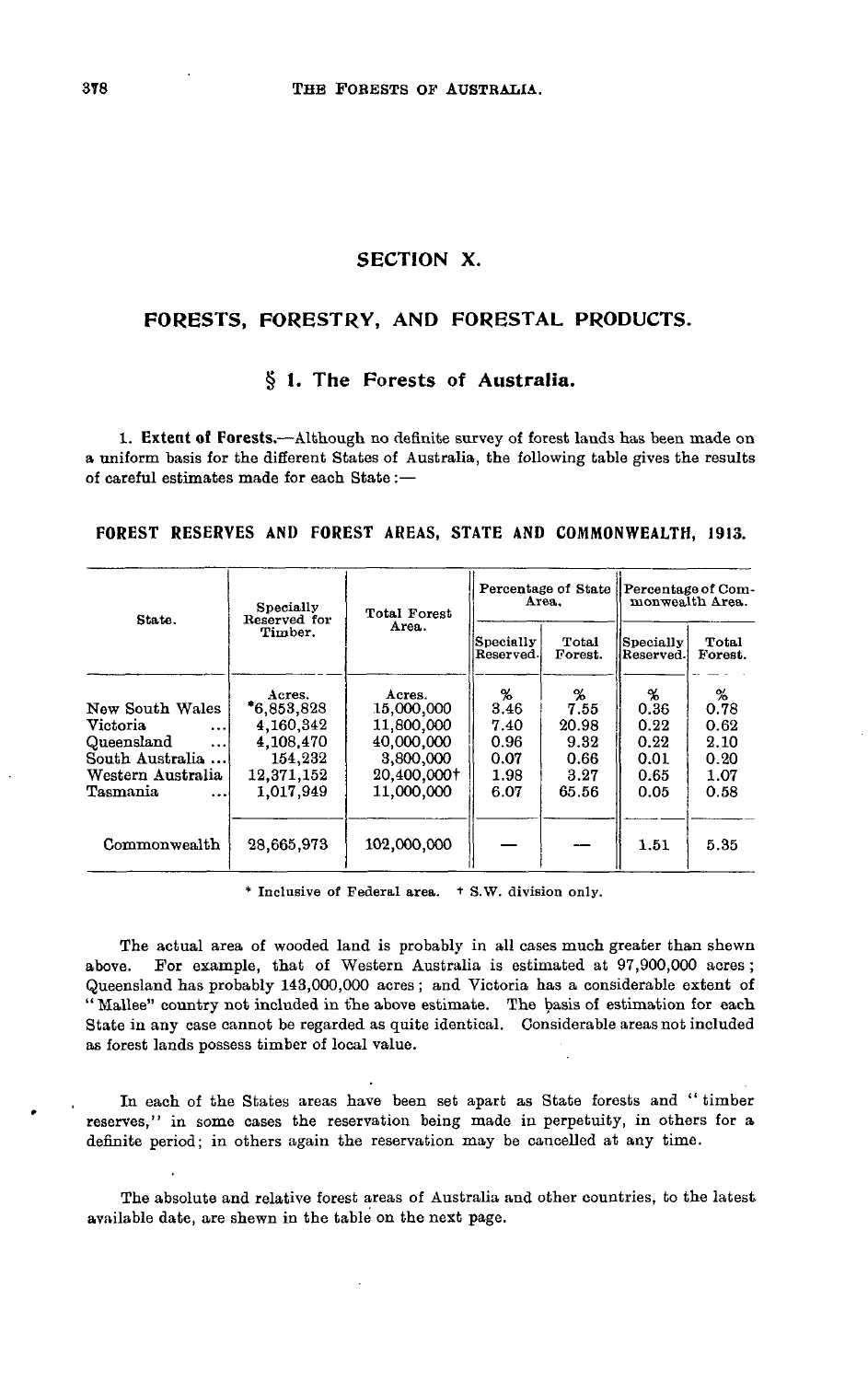# **SECTION X.**

## **FORESTS, FORESTRY, AND FORESTAL PRODUCTS.**

## **§ 1. The Forests of Australia.**

**1. Extent of Forests.**—Although no definite survey of forest lands has been made on a uniform basis for the different States of Australia, the following table gives the results of careful estimates made for each State :—

| State.                      | Specially<br>Reserved for | Total Forest | Area.                  | Percentage of State | Percentage of Com-<br>monwealth Area. |                  |  |
|-----------------------------|---------------------------|--------------|------------------------|---------------------|---------------------------------------|------------------|--|
|                             | Timber.                   | Area.        | Specially<br>Reserved. | Total<br>Forest.    | Specially<br>Reserved.                | Total<br>Forest. |  |
|                             | Acres.                    | Acres.       | %                      | %                   | %                                     | %                |  |
| New South Wales             | $*6.853.828$              | 15,000,000   | 3.46                   | 7.55                | 0.36                                  | 0.78             |  |
| <b>Victoria</b><br>$\cdots$ | 4.160.342                 | 11,800,000   | 7.40                   | 20.98               | 0.22                                  | 0.62             |  |
| Queensland<br>$\cdots$      | 4,108,470                 | 40,000,000   | 0.96                   | 9.32                | 0.22                                  | 2.10             |  |
| South Australia             | 154,232                   | 3,800,000    | 0.07                   | 0.66                | 0.01                                  | 0.20             |  |
| Western Australia           | 12,371,152                | 20,400,000+  | 1.98                   | 3.27                | 0.65                                  | 1.07             |  |
| Tasmania<br>$\ddotsc$       | 1,017,949                 | 11,000,000   | 6.07                   | 65.56               | 0.05                                  | 0.58             |  |
| Commonwealth                | 28,665,973                | 102,000,000  |                        |                     | 1.51                                  | 5.35             |  |

**FOREST RESERVES** AND **FOREST** AREAS, **STATE AND COMMONWEALTH, 1913.**

\* Inclusive of Federal area. \* S.W. division only.

The actual area of wooded land is probably in all cases much greater than shewn above. For example, that of Western Australia is estimated at 97,900,000 acres ; Queensland has probably 143,000,000 acres ; and Victoria has a considerable extent of "Mallee" country not included in the above estimate. The basis of estimation for each State in any case cannot be regarded as quite identical. Considerable areas not included as forest lands possess timber of local value.

In each of the States areas have been set apart as State forests and "timber reserves," in some cases the reservation being made in perpetuity, in others for a definite period; in others again the reservation may be cancelled at any time.

The absolute and relative forest areas of Australia and other countries, to the latest available date, are shewn in the table on the next page.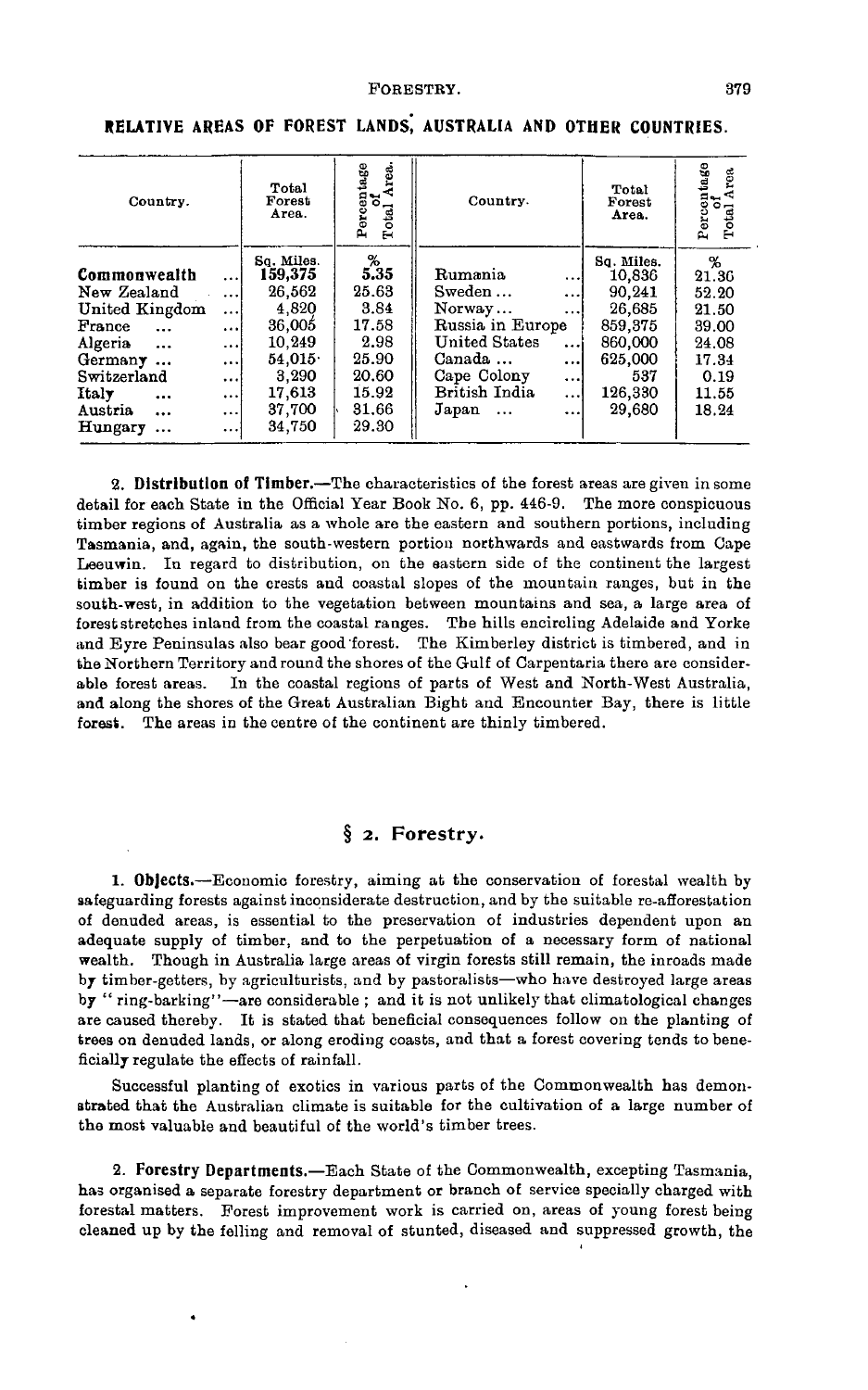| Country.                                                                                                                                                                                              |                                                                                                           | Total<br>Forest<br>Area.                                                                                      | Area.<br>Percentage<br>of<br>Total                                                       | Country.                                                                                                                               |                                                                                      | Total<br>Forest<br>Area.                                                                              | Percentage<br>of<br>Total Area                                                    |  |
|-------------------------------------------------------------------------------------------------------------------------------------------------------------------------------------------------------|-----------------------------------------------------------------------------------------------------------|---------------------------------------------------------------------------------------------------------------|------------------------------------------------------------------------------------------|----------------------------------------------------------------------------------------------------------------------------------------|--------------------------------------------------------------------------------------|-------------------------------------------------------------------------------------------------------|-----------------------------------------------------------------------------------|--|
| Commonwealth<br>New Zealand<br>United Kingdom<br>France<br>$\cdots$<br>Algeria<br>$\cdots$<br>Germany<br>$\ddotsc$<br>Switzerland<br>Italy<br>$\ddotsc$<br>Austria<br>$\cdots$<br>Hungary<br>$\cdots$ | $\cdots$<br>$\cdots$<br>$\cdots$<br>$\cdots$<br>$\cdots$<br>$\cdots$<br>$\ddotsc$<br>$\cdots$<br>$\cdots$ | So. Miles.<br>159,375<br>26,562<br>4.820<br>36,005<br>10,249<br>54.015<br>3.290<br>17.613<br>37,700<br>34,750 | %<br>5.35<br>25.63<br>3.84<br>17.58<br>2.98<br>25.90<br>20.60<br>15.92<br>31.66<br>29.30 | Rumania<br>Sweden<br>Norway<br>Russia in Europe<br><b>United States</b><br>Canada<br>Cape Colony<br>British India<br>Japan<br>$\cdots$ | $\cdots$<br>$\cdots$<br>$\cdots$<br>$\cdots$<br>$\cdots$<br>$\cdots$<br>$\cdots$<br> | Sq. Miles.<br>10,836<br>90.241<br>26,685<br>859,375<br>860,000<br>625,000<br>537<br>126,330<br>29,680 | %<br>21.36<br>52.20<br>21.50<br>39.00<br>24.08<br>17.34<br>0.19<br>11.55<br>18.24 |  |

**RELATIVE AREAS OF FOREST LANDS. AUSTRALIA AND OTHER COUNTRIES.** 

**2. Distribution of Timber.**—The characteristics of the forest areas are given in some detail for each State in the Official Year Book No. 6, pp. 446-9. The more conspicuous timber regions of Australia as a whole are the eastern and southern portions, including Tasmania, and, again, the south-western portion northwards and eastwards from Cape Leeuwin. In regard to distribution, on the eastern side of the continent the largest timber is found on the crests and coastal slopes of the mountain ranges, but in the south-west, in addition to the vegetation between mountains and sea, a large area of forest stretches inland from the coastal ranges. The hills encircling Adelaide and Yorke and Byre Peninsulas also bear good forest. The Kimberley district is timbered, and in the Northern Territory and round the shores of the Gulf of Carpentaria there are considerable forest areas. In the coastal regions of parts of West and North-West Australia, and along the shores of the Great Australian Bight and Encounter Bay, there is little forest. The areas in the centre of the continent are thinly timbered.

# **§** *2.* **Forestry.**

**1. Objects.**—Economic forestry, aiming at the conservation of forestal wealth by safeguarding forests against inconsiderate destruction, and by the suitable re-afforestation of denuded areas, is essential to the preservation of industries dependent upon an adequate supply of timber, and to the perpetuation of a necessary form of national wealth. Though in Australia large areas of virgin forests still remain, the inroads made by timber-getters, by agriculturists, and by pastoralists—who have destroyed large areas by " ring-barking"—are considerable ; and it is not unlikely that climatological changes are caused thereby. It is stated that beneficial consequences follow on the planting of trees on denuded lands, or along eroding coasts, and that a forest covering tends to beneficially regulate the effects of rainfall.

Successful planting of exotics in various parts of the Commonwealth has demonstrated that the Australian climate is suitable for the cultivation of a large number of the most valuable and beautiful of the world's timber trees.

**2. Forestry Departments.**—Each State of the Commonwealth, excepting Tasmania, has organised a separate forestry department or branch of service specially charged with forestal matters. Forest improvement work is carried on, areas of young forest being cleaned up by the felling and removal of stunted, diseased and suppressed growth, the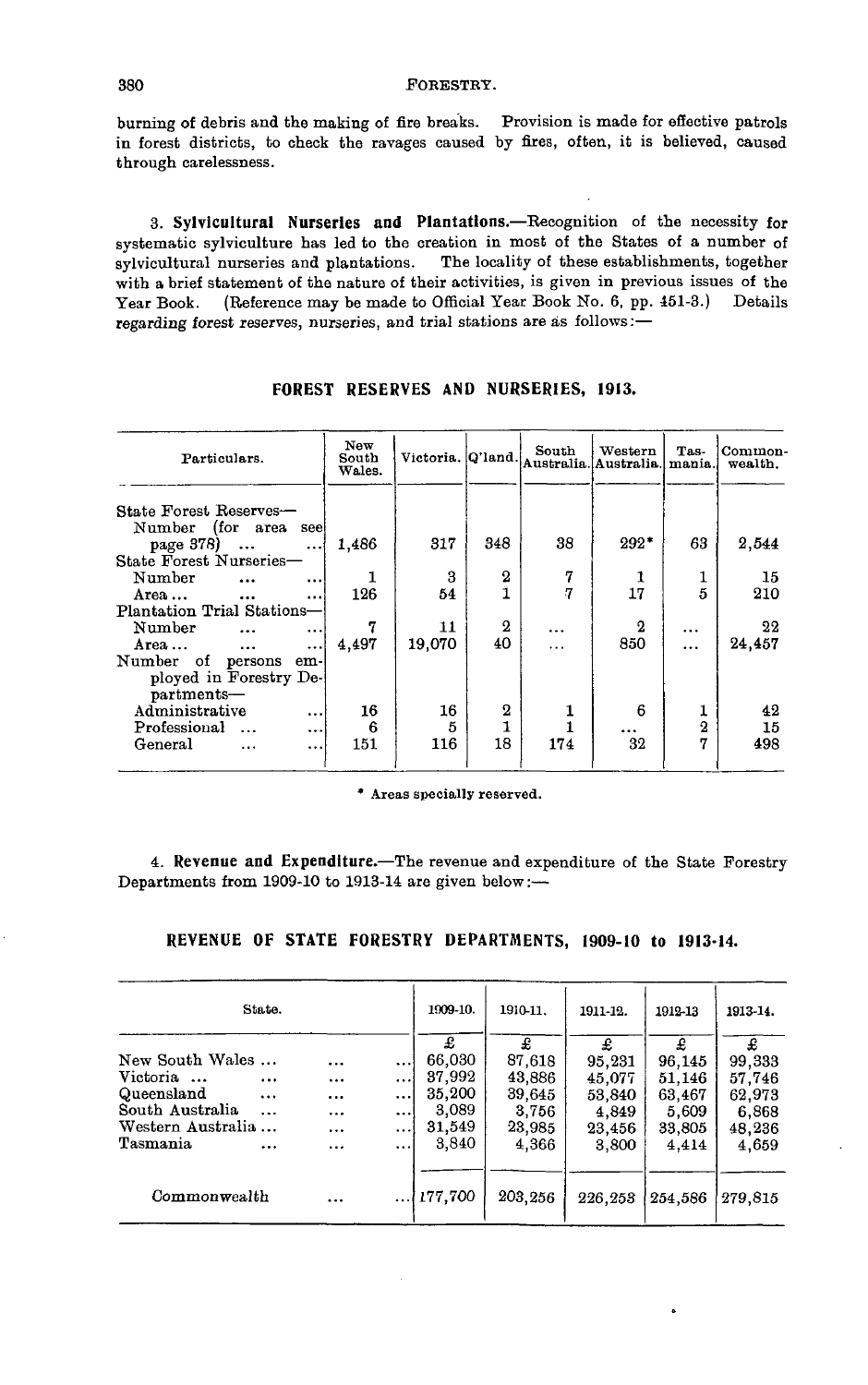burning of debris and the making of fire breaks. Provision is made for effective patrols in forest districts, to check the ravages caused by fires, often, it is believed, caused through carelessness.

**3. Sylvicultural Nurseries and Plantations.**—Recognition of the necessity for systematic sylviculture has led to the creation in most of the States of a number of sylvicultural nurseries and plantations. The locality of these establishments, together with a brief statement of the nature of their activities, is given in previous issues of the Year Book. (Reference may be made to Official Year Book No. 6, pp. 451-3.) Details regarding forest reserves, nurseries, and trial stations are as follows:—

| Particulars.                                   | New<br>South<br>Wales. |        |                  | South<br>Victoria. Q'land. Australia. Australia. | Western          | Tas-<br>mania. | Common-<br>wealth. |
|------------------------------------------------|------------------------|--------|------------------|--------------------------------------------------|------------------|----------------|--------------------|
| State Forest Reserves-<br>Number (for area see |                        |        |                  | 38                                               | $292*$           |                |                    |
| page 378)<br>State Forest Nurseries-           | 1,486<br>$\cdots$      | 317    | 348              |                                                  |                  | 63             | 2,544              |
| Number<br>$\ddotsc$                            | $\ddotsc$              | 3      | 2                | 7                                                | 1                |                | 15                 |
| Area                                           | 126<br>$\cdots$        | 54     |                  | 7                                                | 17               | 5              | 210                |
| Plantation Trial Stations-                     |                        |        |                  |                                                  |                  |                |                    |
| Number<br>$\ddotsc$                            | 7<br>$\cdots$          | 11     | $\boldsymbol{2}$ | $\ddotsc$                                        | $\boldsymbol{2}$ | $\cdots$       | 22                 |
| Area $\cdots$                                  | 4,497<br>$\cdots$      | 19,070 | 40               | $\cdot$ .                                        | 850              |                | 24,457             |
| Number of persons em-                          |                        |        |                  |                                                  |                  |                |                    |
| ployed in Forestry De-                         |                        |        |                  |                                                  |                  |                |                    |
| partments-                                     |                        |        |                  |                                                  |                  |                |                    |
| Administrative                                 | 16<br>$\ddotsc$        | 16     | $\boldsymbol{2}$ | 1                                                | 6                | 1              | 42                 |
| Professional                                   | 6<br>$\ddotsc$         | 5      |                  |                                                  |                  | $\overline{2}$ | 15                 |
| General<br>$\cdots$                            | 151<br>$\cdots$        | 116    | 18               | 174                                              | 32               | 77             | 498                |

**FOREST RESERVES AND NURSERIES, 1913.**

\* Areas specially reserved.

**4. Revenue and Expenditure.**—The revenue and expenditure of the State Forestry Departments from 1909-10 to 1913-14 are given below:—

| REVENUE OF STATE FORESTRY DEPARTMENTS, 1909-10 to 1913-14. |  |  |  |  |
|------------------------------------------------------------|--|--|--|--|
|------------------------------------------------------------|--|--|--|--|

|                                                                                               | State.                                         |                                       |                                                          | 1909-10.                                                    | 1910-11.                                                    | 1911-12.                                                    | 1912-13                                                     | 1913-14.                                               |
|-----------------------------------------------------------------------------------------------|------------------------------------------------|---------------------------------------|----------------------------------------------------------|-------------------------------------------------------------|-------------------------------------------------------------|-------------------------------------------------------------|-------------------------------------------------------------|--------------------------------------------------------|
| New South Wales<br>Victoria<br>Queensland<br>South Australia<br>Western Australia<br>Tasmania | $\cdots$<br>$\cdots$<br>$\ddotsc$<br>$\ddotsc$ | .<br><br>$\cdots$<br><br>$\cdots$<br> | $\cdots$<br>$\cdots$<br>$\cdots$<br>اء د<br><br>$\cdots$ | £<br>66,030<br>37,992<br>35,200<br>3,089<br>31,549<br>3,840 | £<br>87,618<br>43,886<br>39,645<br>3,756<br>23,985<br>4,366 | £<br>95,231<br>45.077<br>53,840<br>4,849<br>23,456<br>3.800 | £<br>96,145<br>51.146<br>63,467<br>5,609<br>33,805<br>4,414 | 99,333<br>57,746<br>62,973<br>6,868<br>48,236<br>4,659 |
| Commonwealth                                                                                  |                                                | $\ddotsc$                             | $\ddotsc$                                                | 177,700                                                     | 203,256                                                     | 226,253                                                     | 254,586                                                     | 279,815                                                |

ė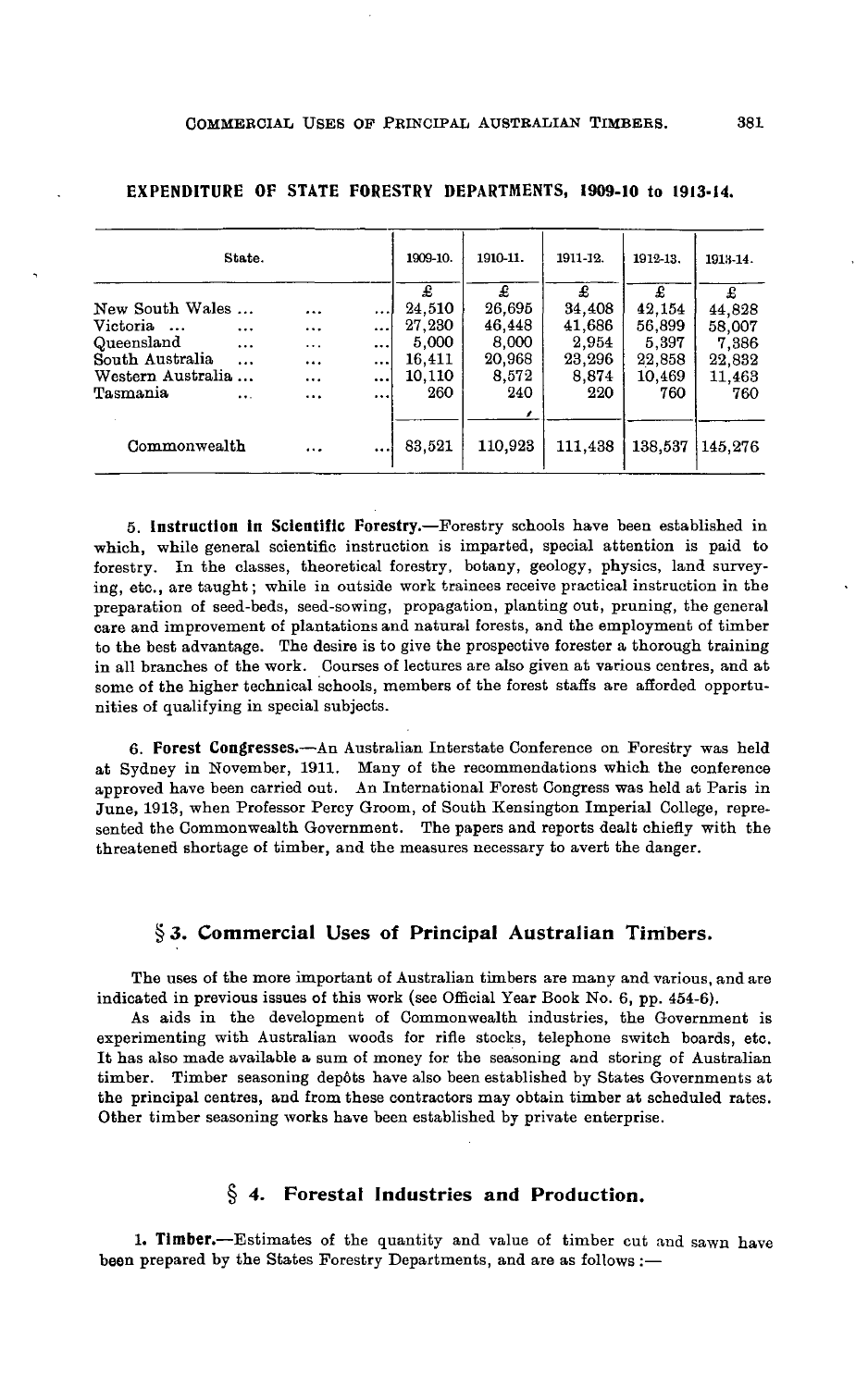|                   | State.    |          |          | 1909-10. | 1910-11. | 1911-12. | 1912-13. | 1913-14. |
|-------------------|-----------|----------|----------|----------|----------|----------|----------|----------|
|                   |           |          |          | £        | £        | £        | £        | £        |
| New South Wales   |           |          |          | 24.510   | 26.695   | 34,408   | 42.154   | 44,828   |
| Victoria          | $\cdots$  | $\cdots$ |          | 27,230   | 46,448   | 41,686   | 56,899   | 58,007   |
| Queensland        | $\cdots$  | $\cdots$ |          | 5.000    | 8.000    | 2,954    | 5,397    | 7,386    |
| South Australia   | $\cdots$  | $\cdots$ |          | 16,411   | 20,968   | 23,296   | 22,858   | 22,832   |
| Western Australia |           |          | $\cdots$ | 10.110   | 8.572    | 8,874    | 10,469   | 11.463   |
| Tasmania          | $\ddotsc$ |          |          | 260      | 240      | 220      | 760      | 760      |
|                   |           |          |          |          |          |          |          |          |

Commonwealth

#### **EXPENDITURE OF STATE FORESTRY DEPARTMENTS, J909-10 to 1913-14.**

**5. Instruction In Scientific Forestry.**—Forestry schools have been established in which, while general scientific instruction is imparted, special attention is paid to forestry. In the classes, theoretical forestry, botany, geology, physics, land surveying, etc., are taught; while in outside work trainees receive practical instruction in the preparation of seed-beds, seed-sowing, propagation, planting out, pruning, the general care and improvement of plantations and natural forests, and the employment of timber to the best advantage. The desire is to give the prospective forester a thorough training in all branches of the work. Courses of lectures are also given at various centres, and at some of the higher technical schools, members of the forest staffs are afforded opportunities of qualifying in special subjects.

83,521

110,923

111,438

138,537 145,276

**6. Forest Congresses.**—An Australian Interstate Conference on Forestry was held at Sydney in November, 1911. Many of the recommendations which the conference approved have been carried out. An International Forest Congress was held at Paris in June, 1913, when Professor Percy Groom, of South Kensington Imperial College, represented the Commonwealth Government. The papers and reports dealt chiefly with the threatened shortage of timber, and the measures necessary to avert the danger.

# **§ 3. Commercial Uses of Principal Australian Timbers.**

The uses of the more important of Australian timbers are many and various, and are indicated in previous issues of this work (see Official Year Book No. 6, pp. 454-6).

As aids in the development of Commonwealth industries, the Government is experimenting with Australian woods for rifle stocks, telephone switch boards, etc. It has also made available a sum of money for the seasoning and storing of Australian timber. Timber seasoning depôts have also been established by States Governments at the principal centres, and from these contractors may obtain timber at scheduled rates. Other timber seasoning works have been established by private enterprise.

# **4. Forestal Industries and Production.**

**1. Timber.**—Estimates of the quantity and value of timber cut and sawn have been prepared by the States Forestry Departments, and are as follows :—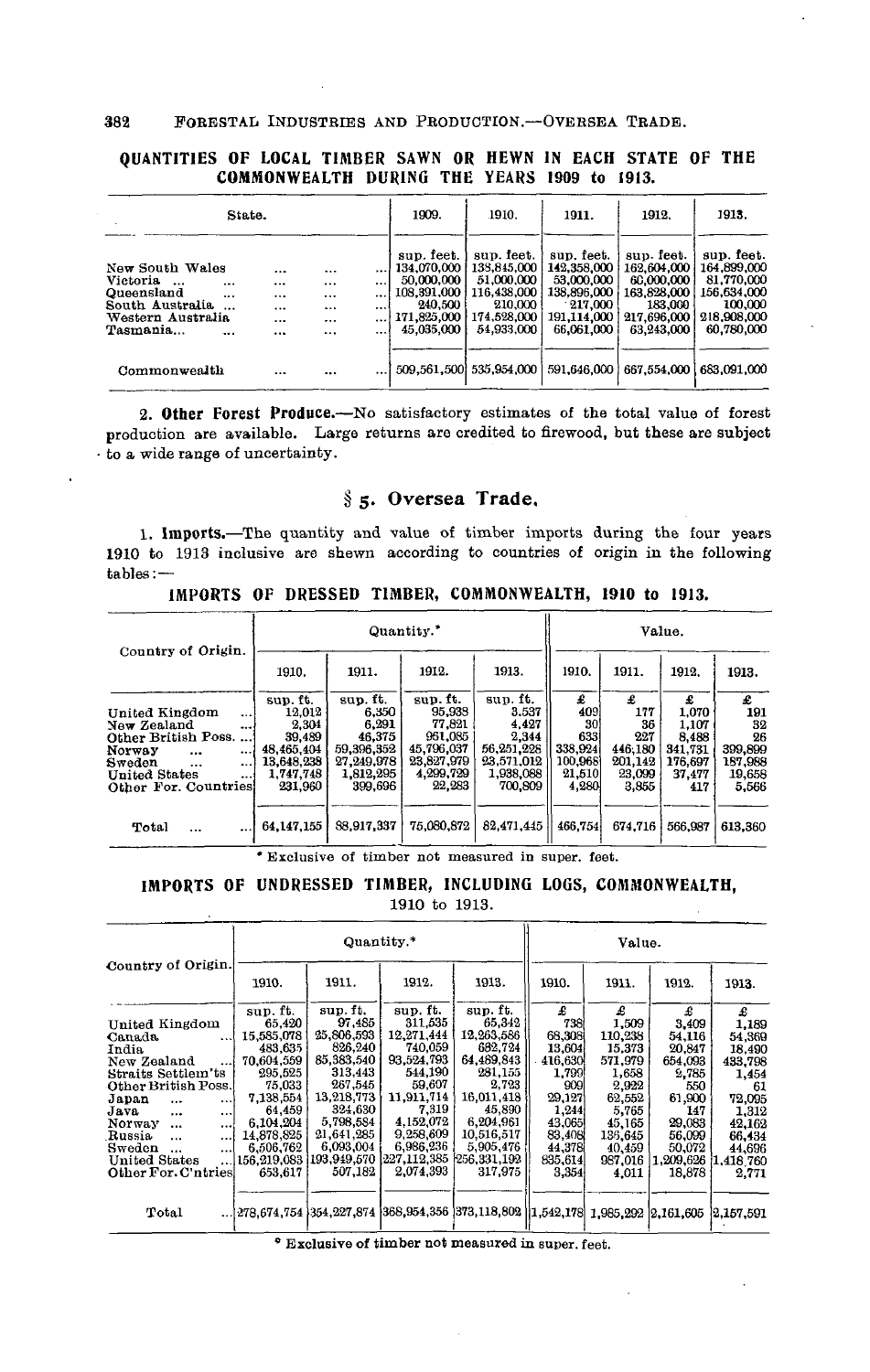### 382 POBESTAL INDUSTBIES AND PRODUCTION.—OVERSEA TRADE.

## **QUANTITIES OF LOCAL TIMBER SAWN OR HEWN IN EACH STATE OF THE COMMONWEALTH DURING THE YEARS 1909 to 1913.**

| State.                                                                                                      |                          |                                              |                                              |                                                              | 1909.                                                                                          | 1910.                                                                                          | 1911.                                                                                             | 1912.                                                                                          | 1913.                                                                                          |
|-------------------------------------------------------------------------------------------------------------|--------------------------|----------------------------------------------|----------------------------------------------|--------------------------------------------------------------|------------------------------------------------------------------------------------------------|------------------------------------------------------------------------------------------------|---------------------------------------------------------------------------------------------------|------------------------------------------------------------------------------------------------|------------------------------------------------------------------------------------------------|
| New South Wales<br>Victoria.<br>$\ddotsc$<br>Queensland<br>South Australia<br>Western Australia<br>Tasmania | $\cdots$<br>$\cdots$<br> | <br>$\cdots$<br>$\cdots$<br>$\cdots$<br><br> | $\cdots$<br><br><br>$\cdots$<br><br>$\cdots$ | $\cdots$<br>$\cdots$<br>$\cdots$<br><br>$\cdots$<br>$\cdots$ | sup. feet.<br>134.070.000<br>50,000,000<br>108,391,000<br>240,500<br>171,825,000<br>45.035,000 | sup. feet.<br>138,845,000<br>51.000,000<br>116,438,000<br>210,000<br>174,528,000<br>54,933,000 | sup. feet.<br>142,358,000<br>53.000.000<br>138.896,000<br>$-217.000$<br>191.114.000<br>66.061.000 | sup. feet.<br>162,604,000<br>60,000,000<br>163.828.000<br>183,000<br>217.696.000<br>63.243.000 | sup. feet.<br>164.899.000<br>81,770,000<br>156,634,000<br>100,000<br>218,908,000<br>60,780,000 |
| Commonwealth                                                                                                |                          |                                              |                                              |                                                              |                                                                                                | 509.561.500 535.954.000                                                                        | 591,646,000                                                                                       | 667,554,000                                                                                    | 683,091,000                                                                                    |

2. Other Forest Produce.—No satisfactory estimates of the total value of forest production are available. Large returns are credited to firewood, but these are subject • to a wide range of uncertainty.

## **§ 5. Oversea Trade.**

1. Imports.—The quantity and value of timber imports during the four years 1910 to 1913 inclusive are shewn according to countries of origin in the following tables:—

**IMPORTS OF DRESSED TIMBER, COMMONWEALTH, 1910 to 1913.**

| Country of Origin.                                                                                                                                                                           |                                                                                           |                                                                                          | Quantity."                                                                                 | Value.                                                                                  |                                                                |                                                                |                                                                     |                                                               |
|----------------------------------------------------------------------------------------------------------------------------------------------------------------------------------------------|-------------------------------------------------------------------------------------------|------------------------------------------------------------------------------------------|--------------------------------------------------------------------------------------------|-----------------------------------------------------------------------------------------|----------------------------------------------------------------|----------------------------------------------------------------|---------------------------------------------------------------------|---------------------------------------------------------------|
|                                                                                                                                                                                              | 1910.                                                                                     | 1911.                                                                                    | 1912.                                                                                      | 1913.                                                                                   | 1910.                                                          | 1911.                                                          | 1912.                                                               | 1913.                                                         |
| United Kingdom<br>$\cdots$<br>New Zealand<br><br>Other British Poss.<br>Norway<br><br>$\cdots$<br>Sweden<br>$\cdots$<br>$\cdots$<br><b>United States</b><br>$\cdots$<br>Other For. Countries | sup. ft.<br>12.012<br>2.304<br>39,489<br>48.465.404<br>13.648.238<br>1,747.748<br>231,960 | sup. ft.<br>6.350<br>6,291<br>46,375<br>59,396,352<br>27,249,978<br>1,812,295<br>399,696 | sup. ft.<br>95,938<br>77.821<br>961.085<br>45,796,037<br>23,827,979<br>4,299,729<br>22,283 | sup. ft.<br>3.537<br>4.427<br>2,344<br>56,251,228<br>23,571,012<br>1,938,088<br>700.809 | £<br>409<br>30<br>633<br>338,924<br>100,968<br>21,510<br>4,280 | £<br>177<br>36<br>227<br>446.180<br>201.142<br>23,099<br>3,855 | £<br>1.070<br>1.107<br>8.488<br>341.731<br>176.697<br>37.477<br>417 | £<br>191<br>32<br>26<br>399,899<br>187.988<br>19,658<br>5,566 |
| Total<br>$\cdots$<br>$\cdots$                                                                                                                                                                | 64,147,155                                                                                | 88.917,337                                                                               | 75,080,872                                                                                 | 82.471.445                                                                              | 466,754                                                        | 674.716                                                        | 566.987                                                             | 613,360                                                       |

\* Exclusive of timber not measured in super, feet.

# **IMPORTS OF UNDRESSED TIMBER, INCLUDING LOGS, COMMONWEALTH,**

1910 to 1913.

|                                  |             | Quantity.*  |                         | Value.                                                                            |         |         |           |             |
|----------------------------------|-------------|-------------|-------------------------|-----------------------------------------------------------------------------------|---------|---------|-----------|-------------|
| Country of Origin.               | 1910.       | 1911.       | 1912.                   | 1913.                                                                             | 1910.   | 1911.   | 1912.     | 1913.       |
|                                  | sup. ft.    | sup.ft.     | sup. ft.                | sup. ft.                                                                          | £       | £       | £         | £           |
| United Kingdom                   | 65,420      | 97.485      | 311,535                 | 65,342                                                                            | 738     | 1,509   | 3,409     | 1,189       |
| Canada<br>$\cdots$               | 15,585,078  | 25,806,593  | 12,271,444              | 12,263,586                                                                        | 68,308  | 110,238 | 54,116    | 54,369      |
| India                            | 483.635     | 826,240     | 740.059                 | 682.724                                                                           | 13.604  | 15.373  | 20.847    | 18.490      |
| New Zealand                      | 70,604,559  | 85,383,540  | 93,524,793              | 64,489,843                                                                        | 416,630 | 571,979 | 654,093   | 433.798     |
| Straits Settlem'ts               | 295.525     | 313,443     | 544,190                 | 281,155                                                                           | 1,799   | 1,658   | 2,785     | 1,454       |
| Other British Poss.              | 75,033      | 267,545     | 59,607                  | 2,723                                                                             | 9091    | 2.922   | 550       | 61          |
| Japan<br>$\cdots$<br>$\cdots$    | 7.138,554   | 13,218,773  | 11.911.714              | 16,011,418                                                                        | 29.127  | 62.552  | 61.900    | 72,095      |
| Java<br>$\cdots$<br>$\ddotsc$    | 64,459      | 324,630     | 7,319                   | 45,890                                                                            | 1.244   | 5.765   | 147       | 1.312       |
| Norway<br>$\ddotsc$<br>$\ddotsc$ | 6.104,204   | 5,798,584   | 4,152,072               | 6,204,961                                                                         | 43.065  | 45,165  | 29,083    | 42.162      |
| Russia<br><br>$\cdots$           | 14.878.825  | 21,641,285  | 9,258,609               | 10.516.517                                                                        | 83,408  | 136.645 | 56,099    | 66,434      |
| Sweden<br>$\cdots$<br>           | 6.506.762   | 6,093,004   | 6.986,236               | 5,905,476                                                                         | 44,378  | 40.459  | 50,072    | 44.696      |
| <b>United States</b>             | 156.219.083 | 193,949,570 | 227.112.385 256.331.192 |                                                                                   | 835.614 | 987,016 | 1,209,626 | 1,418,760   |
| Other For. C'ntries              | 653.617     | 507,182     | 2.074.393               | 317,975                                                                           | 3.354   | 4.011   | 18,878    | 2,771       |
|                                  |             |             |                         |                                                                                   |         |         |           |             |
| Total                            |             |             |                         | $1.278,674,754$ 354,227,874 368,954,356 373,118,802 1.542,178 1.985,292 2.161,605 |         |         |           | [2,157.591] |

\* Exclusive of timber not measured in super, feet.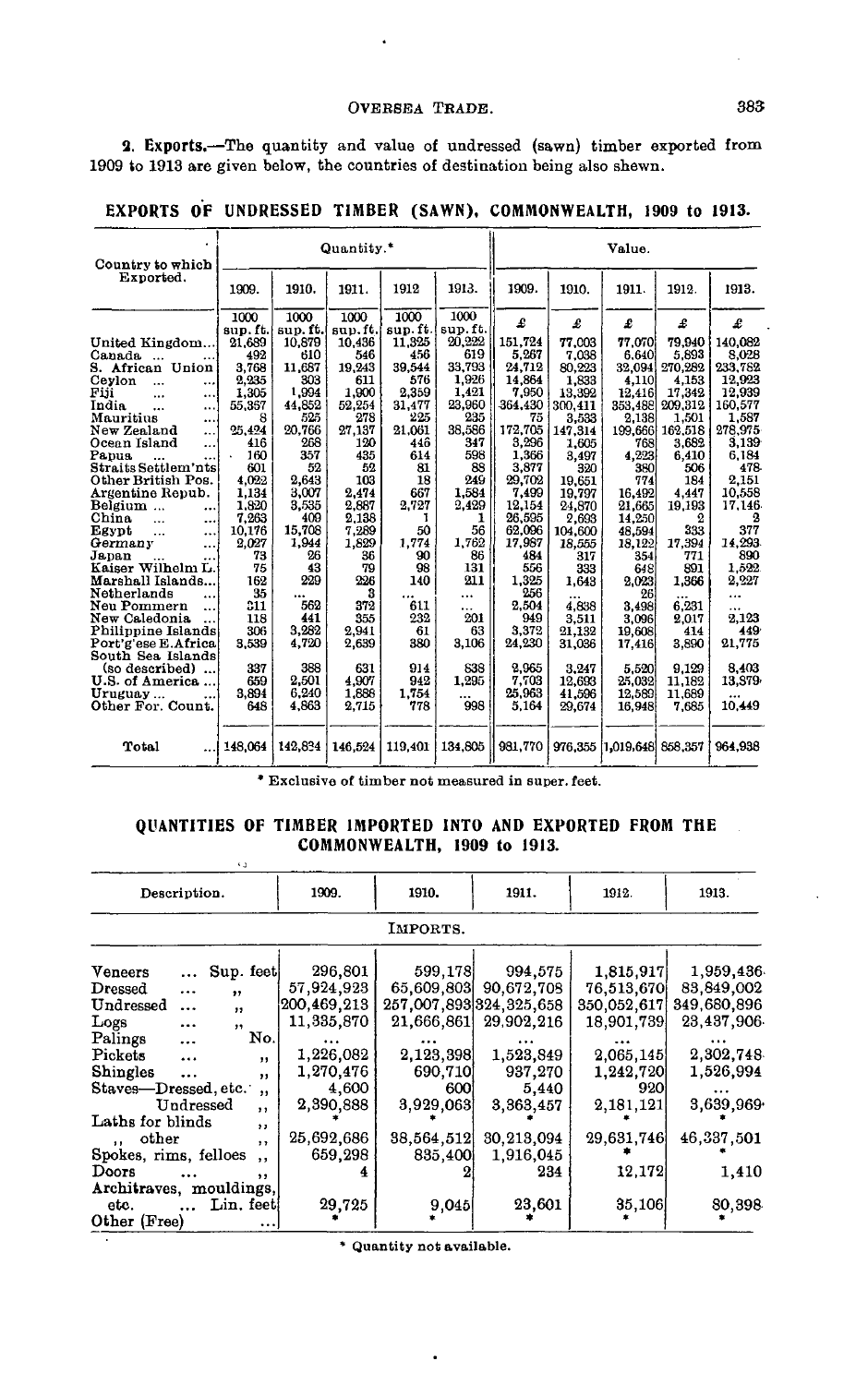# OVERSEA TRADE. 383

**2. Exports.**—The quantity and value of undressed (sawn) timber exported from 1909 to 1913 are given below, the countries of destination being also shewn.

 $\ddot{\phantom{a}}$ 

ka.

| Country to which         |         |         | Quantity.* |         |                 |              |         | Value.            |         |         |
|--------------------------|---------|---------|------------|---------|-----------------|--------------|---------|-------------------|---------|---------|
| Exported.                | 1909.   | 1910.   | 1911.      | 1912    | 1913.           | 1909.        | 1910.   | 1911.             | 1912.   | 1913.   |
|                          | 1000    | 1000    | 1000       | 1000    | 1000            | £            | £       | £                 | £       |         |
|                          | sup.ft. | sup.ft. | sup.ft.    | sup.ft. | sup.ft.         |              |         |                   |         | £       |
| United Kingdom           | 21.689  | 10.879  | 10.436     | 11.325  | 20.222          | 151.724      | 77.003  | 77.070            | 79,940  | 140.082 |
| Canada<br>$\ddotsc$      | 492     | 610     | 546        | 456     | 619             | 5.267        | 7.038   | 6.640             | 5.893   | 8.028   |
| S. African Union         | 3.768   | 11.687  | 19.243     | 39.544  | 33.793          | 24,712       | 80,223  | 32.094            | 270.282 | 233,782 |
| Ceylon<br><br>           | 2,235   | 303     | 611        | 576     | 1,926           | 14.864       | 1,833   | 4,110             | 4.153   | 12,923  |
| Fiji<br><br>$\cdots$     | 1,305   | 1,994   | 1.900      | 2,359   | 1,421           | 7.950        | 13,392  | 12,416            | 17,342  | 12,939  |
| India<br>$\ddotsc$<br>   | 55,367  | 44,852  | 52,254     | 31,477  | 23,960          | 364.430      | 300,411 | 353,488           | 209.312 | 160.577 |
| Mauritius<br>$\cdots$    | 8       | 525     | 278        | 225     | 235             | 75           | 3.533   | 2,138             | 1,501   | 1.587   |
| New Zealand<br>          | 25,424  | 20.766  | 27,137     | 21,061  | 38,586          | 172.705      | 147.314 | 199,666           | 162,518 | 278,975 |
| Ocean Island<br>         | 416     | 268     | 120        | 446     | 347             | 3,296        | 1.605   | 768               | 3.682   | 3.139   |
| Papua                    | 160     | 357     | 435        | 614     | 598             | 1,366        | 3.497   | 4,223             | 6.410   | 6.184   |
| Straits Settlem'nts      | 601     | 52      | 52         | 81      | 88              | 3.877        | 320     | 380               | 506     | 478     |
| Other British Pos.       | 4.022   | 2,643   | 103        | 18      | 249             | 29.702       | 19.651  | 774               | 184     | 2.151   |
| Argentine Repub.         | 1,134   | 3,007   | 2.474      | 667     | 1,584           | 7.499        | 19.797  | 16,492            | 4.447   | 10.558  |
| Belgium                  | 1.820   | 3.535   | 2.887      | 2.727   | 2.429           | 12,154       | 24.870  | 21,665            | 19,193  | 17.146  |
| <br>China<br>$\ddotsc$   | 7,263   | 409     | 2.138      | 1       | ı               | 26.595       | 2,693   | 14,250            | 2       | 2       |
| $\cdots$<br>Egypt        | 10,176  | 15,708  | 7,289      | 50      | 56              | 62.096       | 104,600 | 48.594            | 333     | 377     |
| $\ddotsc$<br><br>Germany | 2,027   | 1.944   | 1,829      | 1,774   | 1,762           | 17.987       | 18.555  | 18,122            | 17,394  | 14.293  |
| $\ddotsc$<br>Japan       | 73      | 26      | 36         | 90      | 86              | 484          | 317     | 354               | 771     | 890     |
| Kaiser Wilhelm L.        | 75      | 43      | 79         | 98      | 131             | 556          | 333     | 648               | 891     | 1.522.  |
| Marshall Islands         | 162     | 229     | 226        | 140     | 211             | 1.325        |         | 2.023             | 1.366   | 2,227   |
| Netherlands              | 35      |         | з          |         |                 | 256          | 1.643   |                   |         |         |
|                          |         | <br>562 |            | 611     | $\cdots$        |              |         | 26                |         |         |
| Neu Pommern<br>          | 311     | 441     | 372<br>355 |         | $\cdots$<br>201 | 2,504<br>949 | 4.838   | 3,498             | 6.231   |         |
| New Caledonia<br>        | 118     |         |            | 232     |                 |              | 3.511   | 3.096             | 2.017   | 2,123   |
| Philippine Islands       | 306     | 3.282   | 2.941      | 61      | 63              | 3.372        | 21.132  | 19.608            | 414     | 449     |
| Port'g'ese E.Africa      | 3.539   | 4.720   | 2,639      | 380     | 3,106           | 24.230       | 31,036  | 17,416            | 3,890   | 21,775  |
| South Sea Islands        |         |         |            |         |                 |              |         |                   |         |         |
| (so described)           | 337     | 388     | 631        | 914     | 838             | 2.965        | 3.247   | 5.520             | 9.129   | 8.403   |
| U.S. of America          | 659     | 2,501   | 4.907      | 942     | 1.295           | 7.703        | 12.693  | 25.032            | 11.182  | 13.579  |
| Uruguay                  | 3.894   | 6.240   | 1,888      | 1,754   |                 | 25.963       | 41.596  | 12,589            | 11.689  |         |
| Other For. Count.        | 648     | 4.863   | 2,715      | 778     | 998             | 5.164        | 29.674  | 16.948            | 7.685   | 10,449  |
| Total                    | 148.064 | 142.834 | 146.524    | 119.401 | 134,805         | 981.770      | 976.355 | 1,019,648 858,357 |         | 964.938 |

\* Exclusive of timber not measured in super, feet.

# QUANTITIES OF TIMBER IMPORTED INTO AND EXPORTED FROM THE COMMONWEALTH, 1909 to 1913.

| Description.            |           |            |                         | 1909.       | 1910.      | 1911.                   | 1912.       | 1913.       |
|-------------------------|-----------|------------|-------------------------|-------------|------------|-------------------------|-------------|-------------|
|                         |           |            |                         |             | IMPORTS.   |                         |             |             |
| Veneers                 | $\cdots$  | Sup. feet  |                         | 296,801     | 599,178    | 994,575                 | 1,815.917   | 1.959,436   |
| Dressed                 |           | $\bullet$  |                         | 57,924,923  | 65.609.803 | 90,672,708              | 76,513,670  | 83,849,002  |
| Undressed               | $\cdots$  | , ,        |                         | 200,469,213 |            | 257.007.893 324.325.658 | 350.052.617 | 349,680,896 |
| Logs                    | $\cdots$  | ,,         |                         | 11.335,870  | 21,666,861 | 29.902.216              | 18,901,739  | 23,437,906  |
| Palings                 | .         |            | No.                     |             |            |                         |             |             |
| Pickets                 | $\cdots$  |            | $\ddot{\phantom{1}}$    | 1,226,082   | 2,123,398  | 1,523,849               | 2.065,145   | 2,302,748   |
| <b>Shingles</b>         | $\ddotsc$ |            | ,,                      | 1,270,476   | 690,710    | 937,270                 | 1,242,720   | 1,526,994   |
| Staves-Dressed, etc.    |           |            | $^{\bullet}$            | 4,600       | 600        | 5,440                   | 920         |             |
|                         |           | Undressed  | ,,                      | 2,390,888   | 3,929,063  | 3.363.457               | 2,181,121   | 3,639,969   |
| Laths for blinds        |           |            | $\bullet$               |             |            |                         |             |             |
| other<br>$\cdot$        |           |            | $\overline{\mathbf{r}}$ | 25,692,686  | 38.564.512 | 30.213.094              | 29,631,746  | 46,337,501  |
| Spokes, rims, felloes   |           |            | $, \,$                  | 659,298     | 835,400    | 1,916,045               |             |             |
| Doors                   |           |            | ,,                      |             |            | 234                     | 12,172      | 1.410       |
| Architraves, mouldings, |           |            |                         |             |            |                         |             |             |
| etc.                    |           | Lin. feetl |                         | 29,725      | 9,045      | 23,601                  | 35,106      | 80,398      |
| Other (Free)            |           |            | $\cdots$                |             |            |                         |             |             |

: Quantity not available.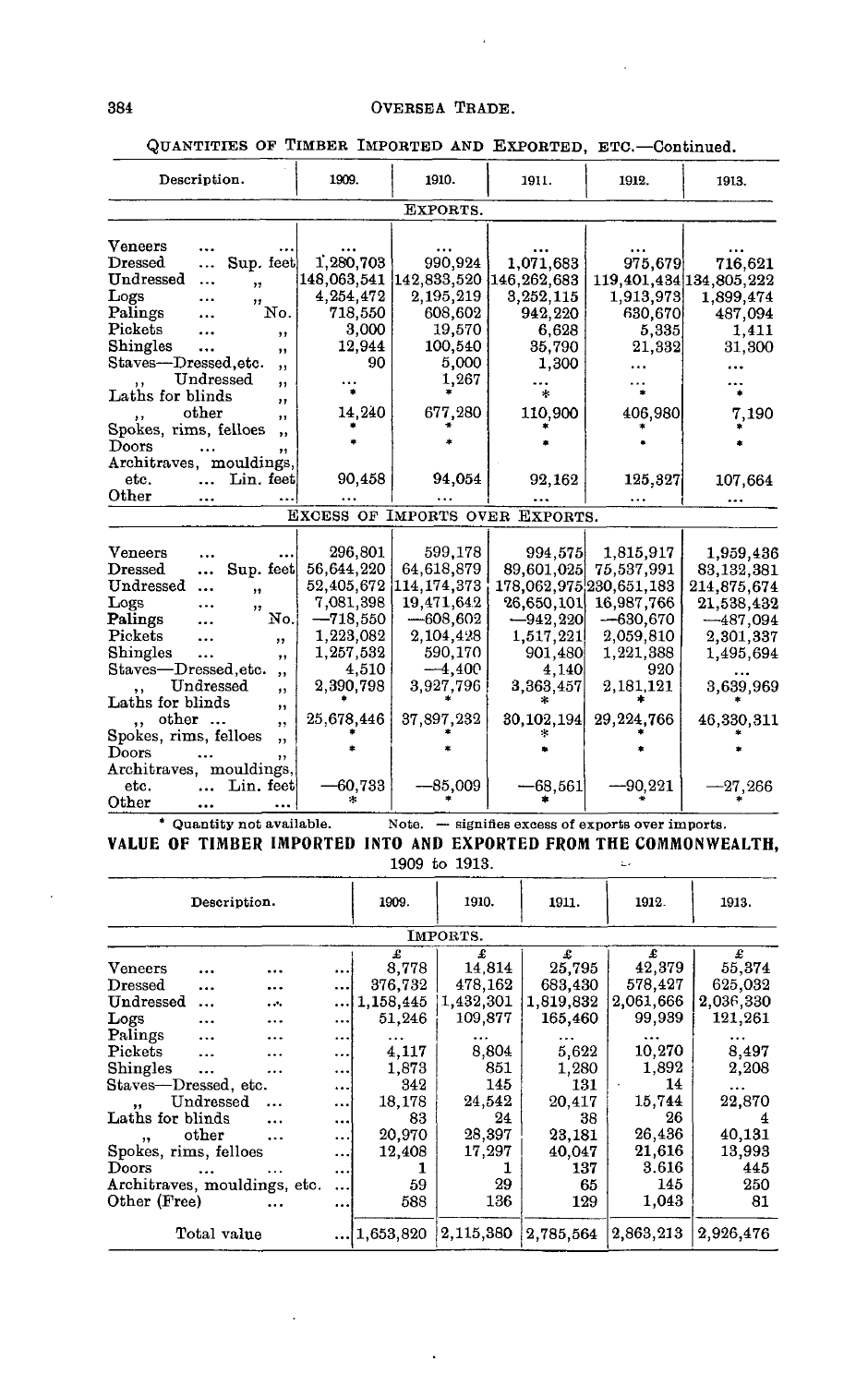| Description.                                      | 1909.       | 1910.       | 1911.                           | 1912.                   | 1913.                   |
|---------------------------------------------------|-------------|-------------|---------------------------------|-------------------------|-------------------------|
|                                                   |             | EXPORTS.    |                                 |                         |                         |
| Veneers                                           |             |             |                                 |                         |                         |
| Dressed<br>Sup. feet<br>$\ddotsc$                 | 1,280,703   | 990,924     | 1,071,683                       | 975,679                 | 716,621                 |
| Undressed<br>                                     | 148,063,541 | 142,833,520 | 146,262,683                     |                         | 119.401,434 134,805,222 |
| ,,<br>Logs                                        | 4,254,472   | 2,195,219   | 3,252,115                       | 1,913,973               | 1,899,474               |
| ,,<br>Palings<br>No.                              | 718,550     | 608,602     | 942,220                         | 630,670                 | 487,094                 |
| Pickets<br>                                       | 3,000       | 19,570      | 6.628                           | 5,335                   | 1,411                   |
| ,,<br>Shingles<br>                                | 12,944      | 100,540     | 35,790                          | 21,332                  | 31,300                  |
| , ,<br>Staves—Dressed.etc.                        | 90          | 5,000       | 1,300                           |                         |                         |
| , 1<br>Undressed                                  |             | 1,267       |                                 |                         |                         |
| $^{\bullet}$<br>Laths for blinds<br>,             |             |             | $\ast$                          |                         |                         |
| other<br>$\cdot$                                  | 14,240      | 677,280     | 110,900                         | 406,980                 | 7.190                   |
| Spokes, rims, felloes<br>$\bullet$                |             |             |                                 |                         |                         |
| Doors<br>, 1                                      |             |             |                                 |                         |                         |
| Architraves, mouldings,                           |             |             |                                 |                         |                         |
| Lin. feet<br>etc.                                 | 90,458      | 94.054      | 92,162                          | 125,327                 | 107,664                 |
| Other                                             | $\cdots$    |             |                                 |                         |                         |
|                                                   |             |             | EXCESS OF IMPORTS OVER EXPORTS. |                         |                         |
|                                                   |             |             |                                 |                         |                         |
| Veneers                                           | 296,801     | 599,178     | 994,575                         | 1,815,917               | 1,959,436               |
| Dressed<br>Sup. feet<br>$\ddotsc$                 | 56,644,220  | 64,618,879  | 89,601,025                      | 75,537,991              | 83, 132, 381            |
| Undressed<br>,,                                   | 52,405,672  | 114,174,373 |                                 | 178,062,975,230,651,183 | 214,875,674             |
| Logs<br>, ,                                       | 7,081,398   | 19,471,642  | 26,650,101                      | 16,987,766              | 21,538,432              |
| Palings<br>No.                                    | $-718,550$  | $-608,602$  | $-942,220$                      | $-630,670$              | $-487,094$              |
| $\mathbf{Pickets}$<br>, ,                         | 1,223,082   | 2,104,428   | 1,517,221                       | 2,059,810               | 2,301,337               |
| Shingles<br>$\cdots$<br>, ,                       | 1,257,532   | 590,170     | 901,480                         | 1,221,388               | 1,495,694               |
| Staves—Dressed.etc.<br>$, \,$                     | 4,510       | $-4,400$    | 4,140                           | 920                     |                         |
| Undressed<br>$\bullet$                            | 2,390,798   | 3,927,796   | 3,363,457                       | 2,181,121               | 3,639,969               |
| Laths for blinds<br>,,                            |             |             |                                 |                         |                         |
| other<br>$\ddot{\phantom{a}}$<br>,                | 25,678,446  | 37,897,232  | 30, 102, 194                    | 29, 224, 766            | 46,330,311              |
| Spokes, rims, felloes<br>$\overline{\phantom{a}}$ |             |             |                                 |                         |                         |
| $_{\rm Doors}$<br>,,                              |             |             |                                 |                         |                         |
| Architraves, mouldings,                           |             |             |                                 |                         |                         |
| Lin. feet<br>etc.                                 | -60.733     | -85,009     | $-68,561$                       | $-90,221$               | 27,266                  |
| Other                                             |             |             |                                 |                         |                         |

QUANTITIES OF TIMBER IMPORTED AND EXPORTED, ETC.—Continued.

\* Quantity not available. Note. — signifies excess of exports over imports.

#### **VALUE OF TIMBER IMPORTED INTO AND EXPORTED FROM THE COMMONWEALTH,** 1909 to 1913.  $\mathcal{L}_{\mathcal{A}}$

| Description.                 |             |           |           | 1909.     | 1910.     | 1911.     | 1912.     | 1913.     |  |  |  |  |
|------------------------------|-------------|-----------|-----------|-----------|-----------|-----------|-----------|-----------|--|--|--|--|
|                              | IMPORTS.    |           |           |           |           |           |           |           |  |  |  |  |
|                              |             |           |           | £         | £         | £         | £         | £         |  |  |  |  |
| Veneers                      | $\cdots$    |           |           | 8,778     | 14,814    | 25,795    | 42,379    | 55,374    |  |  |  |  |
| $\rm{Dressed}$               |             |           | $\cdots$  | 376,732   | 478.162   | 683.430   | 578,427   | 625,032   |  |  |  |  |
| Undressed                    | $\cdots$    | .         | $\cdots$  | 1.158,445 | 1,432,301 | 1,819,832 | 2,061,666 | 2.036,330 |  |  |  |  |
| $_{\rm{Logs}}$               | $\cdots$    |           |           | 51,246    | 109,877   | 165,460   | 99,939    | 121,261   |  |  |  |  |
| Palings                      | $\cdots$    |           | $\cdots$  |           |           |           |           |           |  |  |  |  |
| Pickets                      |             | .         | $\ddotsc$ | 4,117     | 8,804     | 5.622     | 10,270    | 8,497     |  |  |  |  |
| Shingles                     | $\ddotsc$   |           |           | 1,873     | 851       | 1,280     | 1,892     | 2,208     |  |  |  |  |
| Staves—Dressed. etc.         |             |           | $\cdots$  | 342       | 145       | 131       | 14        |           |  |  |  |  |
| ,,                           | Undressed   | $\ddotsc$ |           | 18,178    | 24,542    | 20,417    | 15,744    | 22,870    |  |  |  |  |
| Laths for blinds             |             | $\ddotsc$ | $\cdots$  | 83        | 24        | 38        | 26        | 4         |  |  |  |  |
| ,,                           | other       | $\ddotsc$ | $\ddotsc$ | 20,970    | 28,397    | 23,181    | 26,436    | 40,131    |  |  |  |  |
| Spokes, rims, felloes        |             |           |           | 12,408    | 17,297    | 40,047    | 21,616    | 13,993    |  |  |  |  |
| Doors                        |             |           | $\cdots$  |           |           | 137       | 3.616     | 445       |  |  |  |  |
| Architraves, mouldings, etc. |             |           | $\ddotsc$ | 59        | 29        | 65        | 145       | 250       |  |  |  |  |
| Other (Free)                 |             |           |           | 588       | 136       | 129       | 1,043     | 81        |  |  |  |  |
|                              | Total value |           |           | 1,653,820 | 2,115,380 | 2,785,564 | 2,863,213 | 2,926,476 |  |  |  |  |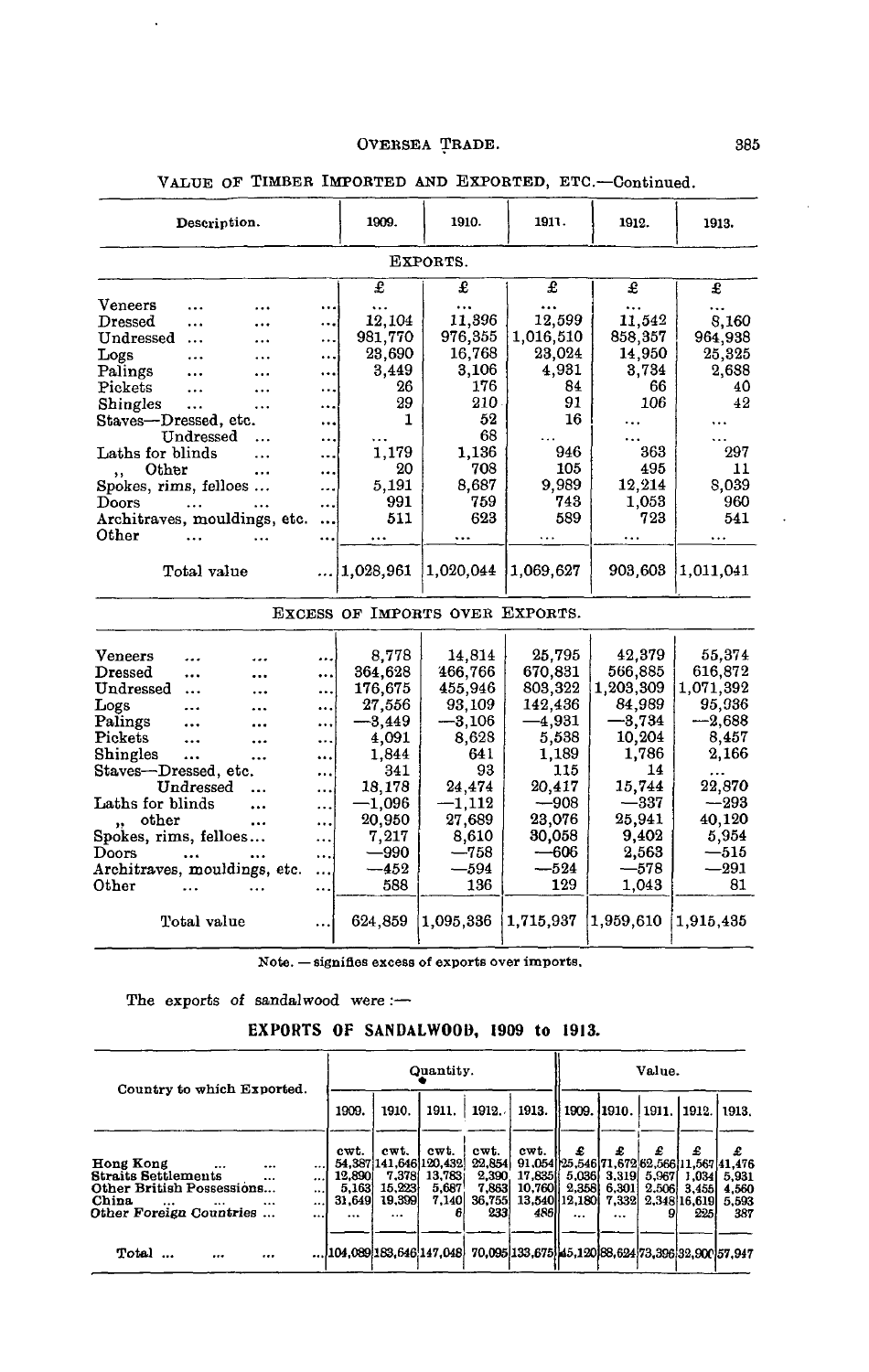| Description.                  |           | 1909.             | 1910.                           | 1911.     | 1912.     | 1913.     |  |  |  |  |  |
|-------------------------------|-----------|-------------------|---------------------------------|-----------|-----------|-----------|--|--|--|--|--|
| EXPORTS.                      |           |                   |                                 |           |           |           |  |  |  |  |  |
|                               |           | £                 | £                               | £         | £         | £         |  |  |  |  |  |
| Veneers<br>                   |           |                   |                                 |           |           |           |  |  |  |  |  |
| $\bf{D}$ ressed<br>           |           | 12,104            | 11,396                          | 12,599    | 11,542    | 8,160     |  |  |  |  |  |
| Undressed<br>                 |           | 981,770           | 976,355                         | 1,016.510 | 858,357   | 964,938   |  |  |  |  |  |
| Logs<br>                      |           | 23,690            | 16,768                          | 23,024    | 14,950    | 25,325    |  |  |  |  |  |
| Palings<br>                   |           | 3,449             | 3,106                           | 4,931     | 3,734     | 2,688     |  |  |  |  |  |
| Pickets<br>$\ddotsc$          |           | 26                | 176                             | 84        | 66        | 40        |  |  |  |  |  |
| Shingles<br>                  |           | 29                | 210.                            | 91        | 106       | 42        |  |  |  |  |  |
| Staves—Dressed, etc.          |           | 1                 | 52                              | 16        |           |           |  |  |  |  |  |
| Undressed                     |           |                   | 68                              |           |           |           |  |  |  |  |  |
| Laths for blinds              |           | 1,179             | 1,136                           | 946       | 363       | 297       |  |  |  |  |  |
| Other<br>$\ddot{\phantom{a}}$ |           | 20                | 708                             | 105       | 495       | 11        |  |  |  |  |  |
| Spokes, rims, felloes         |           | 5,191             | 8.687                           | 9.989     | 12,214    | 8.039     |  |  |  |  |  |
| Doors                         |           | 991               | 759                             | 743       | 1,053     | 960       |  |  |  |  |  |
| Architraves, mouldings, etc.  | $\ddotsc$ | 511               | 623                             | 589       | 723       | 541       |  |  |  |  |  |
| Other                         |           | $\cdots$          |                                 | .         |           |           |  |  |  |  |  |
| Total value                   |           | $\dots$ 1,028,961 | 1,020,044                       | 1.069.627 | 903,603   | 1,011,041 |  |  |  |  |  |
|                               |           |                   | EXCESS OF IMPORTS OVER EXPORTS. |           |           |           |  |  |  |  |  |
| Veneers<br>                   |           | 8,778             | 14,814                          | 25,795    | 42,379    | 55,374    |  |  |  |  |  |
| $\bf{D}$ ressed               |           | 364,628           | 466,766                         | 670,831   | 566,885   | 616,872   |  |  |  |  |  |
| Undressed<br>$\cdots$         |           | 176,675           | 455,946                         | 803,322   | 1,203,309 | 1,071,392 |  |  |  |  |  |
| Logs<br>                      |           | 27,556            | 93,109                          | 142,436   | 84,989    | 95,936    |  |  |  |  |  |
| Palings                       |           | $-3,449$          | $-3,106$                        | $-4,931$  | $-3,734$  | $-2,688$  |  |  |  |  |  |
| Pickets<br><br>               |           | 4,091             | 8.628                           | 5,538     | 10,204    | 8,457     |  |  |  |  |  |
| Shingles<br><br>              |           | 1,844             | 641                             | 1,189     | 1.786     | 2,166     |  |  |  |  |  |
| Staves—Dressed, etc.          |           | 341               | 93                              | 115       | 14        |           |  |  |  |  |  |
| Undressed                     |           | 18,178            | 24.474                          | 20,417    | 15,744    | 22,870    |  |  |  |  |  |
| Laths for blinds              |           | $-1,096$          | $-1,112$                        | $-908$    | $-337$    | $-293$    |  |  |  |  |  |
| other<br>                     |           | 20,950            | 27,689                          | 23,076    | 25,941    | 40,120    |  |  |  |  |  |
| Spokes, rims, felloes         |           | 7,217             | 8,610                           | 30,058    | 9,402     | 5,954     |  |  |  |  |  |
| Doors                         |           | —990              | —758                            | —606      | 2,563     | $-515$    |  |  |  |  |  |
| Architraves, mouldings, etc.  |           | $-452$            | $-594$                          | $-524$    | —578      | $-291$    |  |  |  |  |  |
| Other                         |           | 588               | 136                             | 129       | 1,043     | 81        |  |  |  |  |  |
| Total value                   |           | 624,859           | 1,095,336                       | 1,715,937 | 1,959,610 | 1,915,435 |  |  |  |  |  |

# VALUE OF TIMBER IMPORTED AND EXPORTED, ETC.—Continued.

Note. — signifies excess of exports over imports.

The exports of sandalwood were :-

# **EXPORTS OF** SANDALWOOD, **1909 to 1913.**

| Country to which Exported.                                                                                                                                                                                     | Quantity.                             |                                                                         |                                   |                                                   |                                                   | Value.                                                                                |                                          |                           |                                                    |                                     |
|----------------------------------------------------------------------------------------------------------------------------------------------------------------------------------------------------------------|---------------------------------------|-------------------------------------------------------------------------|-----------------------------------|---------------------------------------------------|---------------------------------------------------|---------------------------------------------------------------------------------------|------------------------------------------|---------------------------|----------------------------------------------------|-------------------------------------|
|                                                                                                                                                                                                                | 1909.                                 | 1910.                                                                   | 1911.                             | 1912.                                             | 1913.                                             | 1909.  1910.   1911.   1912.                                                          |                                          |                           |                                                    | 1913.                               |
| Hong Kong<br><br><br>$\cdots$<br><b>Straits Settlements</b><br>$\cdots$<br>$\ddotsc$<br>Other British Possessions<br><br>China<br>$\cdots$<br>$\cdots$<br>$\ddotsc$<br>$\cdots$<br>Other Foreign Countries<br> | cwt.<br>12,890<br>5,163<br>31,649<br> | cwt.<br>54.387 141.646 120.432<br>7,378<br>15,223<br>19,399<br>$\cdots$ | cwt.<br>13.783i<br>5,687<br>7,140 | cwt.<br>22.854<br>2,390<br>7.863<br>36,755<br>233 | cwt.<br>17,835<br>10,760<br>4861                  | £<br>91,054 25,546 71,672 62,566 11,567 41,476<br>5.036<br>2,358<br>13,540 12,180<br> | £<br>3,319<br>6.301<br>7.332<br>$\cdots$ | £<br>5.967<br>2.5061<br>9 | £<br>1,034<br><b>3.4551</b><br>2,348 16,619<br>225 | £<br>5.931<br>4.560<br>5,593<br>387 |
| Total<br><br>                                                                                                                                                                                                  | 104.089 183.646 147.048               |                                                                         |                                   |                                                   | 70,095 133,675 45,120 88,624 73,396 32,900 57,947 |                                                                                       |                                          |                           |                                                    |                                     |